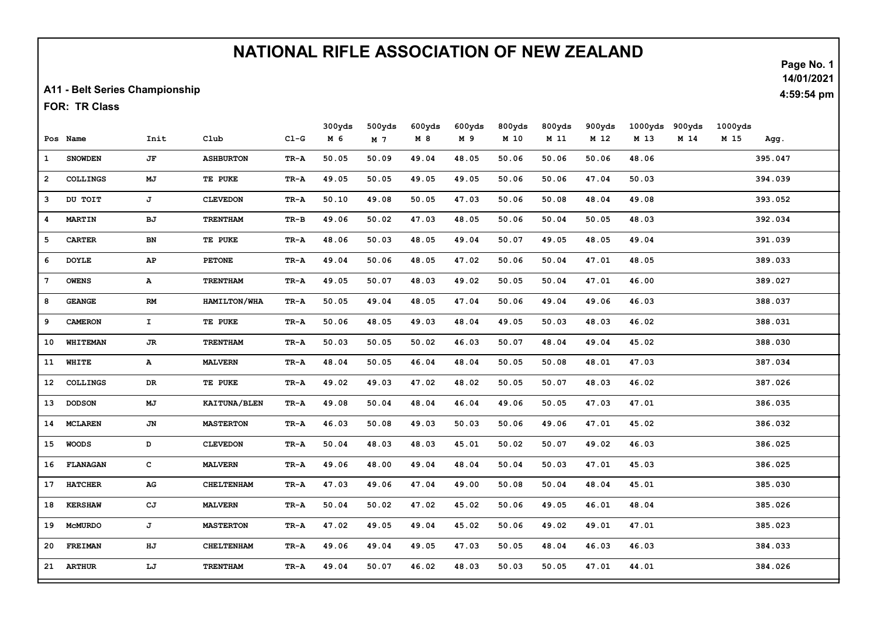## NATIONAL RIFLE ASSOCIATION OF NEW ZEALAND

A11 - Belt Series Championship

FOR: TR Class

|                |                 |              |                     |          | 300yds | 500yds | 600yds | 600yds | 800yds | 800yds | 900yds | 1000yds | 900yds | 1000yds |         |
|----------------|-----------------|--------------|---------------------|----------|--------|--------|--------|--------|--------|--------|--------|---------|--------|---------|---------|
|                | Pos Name        | Init         | Club                | $C1-G$   | M 6    | M 7    | M 8    | M 9    | M 10   | M 11   | M 12   | M 13    | M 14   | M 15    | Agg.    |
| $\mathbf{1}$   | <b>SNOWDEN</b>  | JF           | <b>ASHBURTON</b>    | TR-A     | 50.05  | 50.09  | 49.04  | 48.05  | 50.06  | 50.06  | 50.06  | 48.06   |        |         | 395.047 |
| $\overline{a}$ | <b>COLLINGS</b> | MJ           | TE PUKE             | TR-A     | 49.05  | 50.05  | 49.05  | 49.05  | 50.06  | 50.06  | 47.04  | 50.03   |        |         | 394.039 |
| з              | DU TOIT         | J            | <b>CLEVEDON</b>     | TR-A     | 50.10  | 49.08  | 50.05  | 47.03  | 50.06  | 50.08  | 48.04  | 49.08   |        |         | 393.052 |
| 4              | <b>MARTIN</b>   | BJ           | <b>TRENTHAM</b>     | $TR - B$ | 49.06  | 50.02  | 47.03  | 48.05  | 50.06  | 50.04  | 50.05  | 48.03   |        |         | 392.034 |
| 5              | <b>CARTER</b>   | BN           | TE PUKE             | TR-A     | 48.06  | 50.03  | 48.05  | 49.04  | 50.07  | 49.05  | 48.05  | 49.04   |        |         | 391.039 |
| 6              | <b>DOYLE</b>    | AP           | <b>PETONE</b>       | TR-A     | 49.04  | 50.06  | 48.05  | 47.02  | 50.06  | 50.04  | 47.01  | 48.05   |        |         | 389.033 |
| 7              | <b>OWENS</b>    | $\mathbf{A}$ | <b>TRENTHAM</b>     | TR-A     | 49.05  | 50.07  | 48.03  | 49.02  | 50.05  | 50.04  | 47.01  | 46.00   |        |         | 389.027 |
| 8              | <b>GEANGE</b>   | RM           | <b>HAMILTON/WHA</b> | TR-A     | 50.05  | 49.04  | 48.05  | 47.04  | 50.06  | 49.04  | 49.06  | 46.03   |        |         | 388.037 |
| 9              | <b>CAMERON</b>  | $\mathbf{I}$ | TE PUKE             | TR-A     | 50.06  | 48.05  | 49.03  | 48.04  | 49.05  | 50.03  | 48.03  | 46.02   |        |         | 388.031 |
| 10             | <b>WHITEMAN</b> | JR.          | <b>TRENTHAM</b>     | TR-A     | 50.03  | 50.05  | 50.02  | 46.03  | 50.07  | 48.04  | 49.04  | 45.02   |        |         | 388.030 |
| 11             | WHITE           | $\mathbf{A}$ | <b>MALVERN</b>      | TR-A     | 48.04  | 50.05  | 46.04  | 48.04  | 50.05  | 50.08  | 48.01  | 47.03   |        |         | 387.034 |
| 12             | <b>COLLINGS</b> | DR           | TE PUKE             | TR-A     | 49.02  | 49.03  | 47.02  | 48.02  | 50.05  | 50.07  | 48.03  | 46.02   |        |         | 387.026 |
| 13             | <b>DODSON</b>   | MJ           | <b>KAITUNA/BLEN</b> | TR-A     | 49.08  | 50.04  | 48.04  | 46.04  | 49.06  | 50.05  | 47.03  | 47.01   |        |         | 386.035 |
| 14             | <b>MCLAREN</b>  | JN           | <b>MASTERTON</b>    | TR-A     | 46.03  | 50.08  | 49.03  | 50.03  | 50.06  | 49.06  | 47.01  | 45.02   |        |         | 386.032 |
| 15             | <b>WOODS</b>    | D            | <b>CLEVEDON</b>     | TR-A     | 50.04  | 48.03  | 48.03  | 45.01  | 50.02  | 50.07  | 49.02  | 46.03   |        |         | 386.025 |
| 16             | <b>FLANAGAN</b> | c            | <b>MALVERN</b>      | TR-A     | 49.06  | 48.00  | 49.04  | 48.04  | 50.04  | 50.03  | 47.01  | 45.03   |        |         | 386.025 |
| 17             | <b>HATCHER</b>  | ${\bf AG}$   | CHELTENHAM          | TR-A     | 47.03  | 49.06  | 47.04  | 49.00  | 50.08  | 50.04  | 48.04  | 45.01   |        |         | 385.030 |
| 18             | <b>KERSHAW</b>  | CJ           | <b>MALVERN</b>      | TR-A     | 50.04  | 50.02  | 47.02  | 45.02  | 50.06  | 49.05  | 46.01  | 48.04   |        |         | 385.026 |
| 19             | <b>MCMURDO</b>  | J            | <b>MASTERTON</b>    | TR-A     | 47.02  | 49.05  | 49.04  | 45.02  | 50.06  | 49.02  | 49.01  | 47.01   |        |         | 385.023 |
| 20             | <b>FREIMAN</b>  | HJ           | CHELTENHAM          | TR-A     | 49.06  | 49.04  | 49.05  | 47.03  | 50.05  | 48.04  | 46.03  | 46.03   |        |         | 384.033 |
|                | 21 ARTHUR       | LJ           | <b>TRENTHAM</b>     | TR-A     | 49.04  | 50.07  | 46.02  | 48.03  | 50.03  | 50.05  | 47.01  | 44.01   |        |         | 384.026 |

Page No. 1 14/01/2021

4:59:54 pm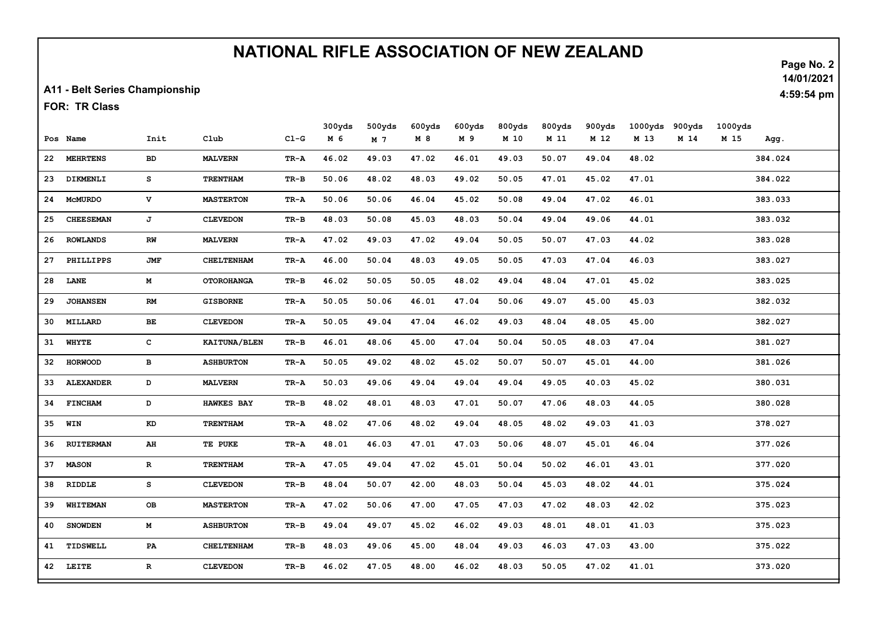## NATIONAL RIFLE ASSOCIATION OF NEW ZEALAND

A11 - Belt Series Championship

FOR: TR Class

|    |                  |              |                   |        | 300yds | 500yds | 600yds | 600yds | 800yds | 800yds | 900yds | 1000yds | 900yds | 1000yds |         |
|----|------------------|--------------|-------------------|--------|--------|--------|--------|--------|--------|--------|--------|---------|--------|---------|---------|
|    | Pos Name         | Init         | Club              | $C1-G$ | M 6    | M 7    | M 8    | M 9    | M 10   | M 11   | M 12   | M 13    | M 14   | M 15    | Agg.    |
| 22 | <b>MEHRTENS</b>  | BD           | <b>MALVERN</b>    | TR-A   | 46.02  | 49.03  | 47.02  | 46.01  | 49.03  | 50.07  | 49.04  | 48.02   |        |         | 384.024 |
| 23 | DIKMENLI         | s            | <b>TRENTHAM</b>   | TR-B   | 50.06  | 48.02  | 48.03  | 49.02  | 50.05  | 47.01  | 45.02  | 47.01   |        |         | 384.022 |
| 24 | <b>MCMURDO</b>   | $\mathbf v$  | <b>MASTERTON</b>  | TR-A   | 50.06  | 50.06  | 46.04  | 45.02  | 50.08  | 49.04  | 47.02  | 46.01   |        |         | 383.033 |
| 25 | <b>CHEESEMAN</b> | J            | <b>CLEVEDON</b>   | TR-B   | 48.03  | 50.08  | 45.03  | 48.03  | 50.04  | 49.04  | 49.06  | 44.01   |        |         | 383.032 |
| 26 | <b>ROWLANDS</b>  | RW           | <b>MALVERN</b>    | TR-A   | 47.02  | 49.03  | 47.02  | 49.04  | 50.05  | 50.07  | 47.03  | 44.02   |        |         | 383.028 |
| 27 | PHILLIPPS        | <b>JMF</b>   | <b>CHELTENHAM</b> | TR-A   | 46.00  | 50.04  | 48.03  | 49.05  | 50.05  | 47.03  | 47.04  | 46.03   |        |         | 383.027 |
| 28 | LANE             | м            | <b>OTOROHANGA</b> | TR-B   | 46.02  | 50.05  | 50.05  | 48.02  | 49.04  | 48.04  | 47.01  | 45.02   |        |         | 383.025 |
| 29 | <b>JOHANSEN</b>  | RM           | <b>GISBORNE</b>   | TR-A   | 50.05  | 50.06  | 46.01  | 47.04  | 50.06  | 49.07  | 45.00  | 45.03   |        |         | 382.032 |
| 30 | MILLARD          | BЕ           | <b>CLEVEDON</b>   | TR-A   | 50.05  | 49.04  | 47.04  | 46.02  | 49.03  | 48.04  | 48.05  | 45.00   |        |         | 382.027 |
| 31 | <b>WHYTE</b>     | $\mathbf{C}$ | KAITUNA/BLEN      | TR-B   | 46.01  | 48.06  | 45.00  | 47.04  | 50.04  | 50.05  | 48.03  | 47.04   |        |         | 381.027 |
| 32 | <b>HORWOOD</b>   | в            | <b>ASHBURTON</b>  | TR-A   | 50.05  | 49.02  | 48.02  | 45.02  | 50.07  | 50.07  | 45.01  | 44.00   |        |         | 381.026 |
| 33 | <b>ALEXANDER</b> | $\mathbf D$  | <b>MALVERN</b>    | TR-A   | 50.03  | 49.06  | 49.04  | 49.04  | 49.04  | 49.05  | 40.03  | 45.02   |        |         | 380.031 |
| 34 | <b>FINCHAM</b>   | D            | <b>HAWKES BAY</b> | TR-B   | 48.02  | 48.01  | 48.03  | 47.01  | 50.07  | 47.06  | 48.03  | 44.05   |        |         | 380.028 |
| 35 | WIN              | KD           | <b>TRENTHAM</b>   | TR-A   | 48.02  | 47.06  | 48.02  | 49.04  | 48.05  | 48.02  | 49.03  | 41.03   |        |         | 378.027 |
| 36 | <b>RUITERMAN</b> | AH           | TE PUKE           | TR-A   | 48.01  | 46.03  | 47.01  | 47.03  | 50.06  | 48.07  | 45.01  | 46.04   |        |         | 377.026 |
| 37 | <b>MASON</b>     | $\mathbf{R}$ | <b>TRENTHAM</b>   | TR-A   | 47.05  | 49.04  | 47.02  | 45.01  | 50.04  | 50.02  | 46.01  | 43.01   |        |         | 377.020 |
| 38 | RIDDLE           | s            | <b>CLEVEDON</b>   | TR-B   | 48.04  | 50.07  | 42.00  | 48.03  | 50.04  | 45.03  | 48.02  | 44.01   |        |         | 375.024 |
| 39 | WHITEMAN         | OВ           | <b>MASTERTON</b>  | TR-A   | 47.02  | 50.06  | 47.00  | 47.05  | 47.03  | 47.02  | 48.03  | 42.02   |        |         | 375.023 |
| 40 | <b>SNOWDEN</b>   | м            | <b>ASHBURTON</b>  | TR-B   | 49.04  | 49.07  | 45.02  | 46.02  | 49.03  | 48.01  | 48.01  | 41.03   |        |         | 375.023 |
| 41 | TIDSWELL         | PA           | <b>CHELTENHAM</b> | TR-B   | 48.03  | 49.06  | 45.00  | 48.04  | 49.03  | 46.03  | 47.03  | 43.00   |        |         | 375.022 |
|    | 42 LEITE         | $\mathbf R$  | <b>CLEVEDON</b>   | TR-B   | 46.02  | 47.05  | 48.00  | 46.02  | 48.03  | 50.05  | 47.02  | 41.01   |        |         | 373.020 |

Page No. 2 14/01/2021

4:59:54 pm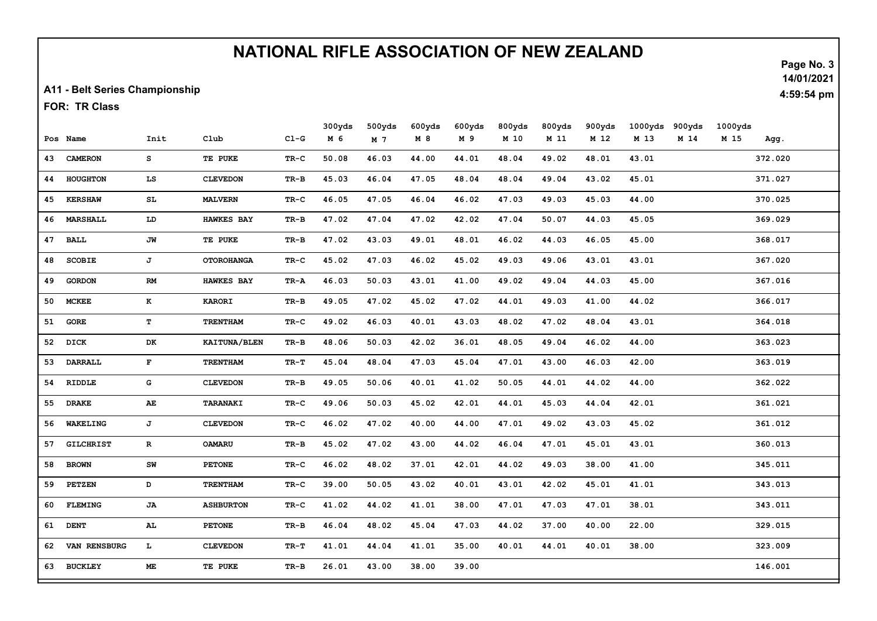## NATIONAL RIFLE ASSOCIATION OF NEW ZEALAND

A11 - Belt Series Championship

FOR: TR Class

|    |                  |                         |                     |        | 300yds | 500yds | 600yds | 600yds | 800yds | 800yds | 900yds | 1000yds | 900yds | 1000yds |         |
|----|------------------|-------------------------|---------------------|--------|--------|--------|--------|--------|--------|--------|--------|---------|--------|---------|---------|
|    | Pos Name         | Init                    | Club                | $CL-G$ | M 6    | M 7    | M 8    | M 9    | M 10   | M 11   | M 12   | M 13    | M 14   | M 15    | Agg.    |
| 43 | <b>CAMERON</b>   | s                       | TE PUKE             | TR-C   | 50.08  | 46.03  | 44.00  | 44.01  | 48.04  | 49.02  | 48.01  | 43.01   |        |         | 372.020 |
| 44 | <b>HOUGHTON</b>  | LS                      | <b>CLEVEDON</b>     | TR-B   | 45.03  | 46.04  | 47.05  | 48.04  | 48.04  | 49.04  | 43.02  | 45.01   |        |         | 371.027 |
| 45 | <b>KERSHAW</b>   | SL                      | <b>MALVERN</b>      | TR-C   | 46.05  | 47.05  | 46.04  | 46.02  | 47.03  | 49.03  | 45.03  | 44.00   |        |         | 370.025 |
| 46 | <b>MARSHALL</b>  | LD                      | <b>HAWKES BAY</b>   | TR-B   | 47.02  | 47.04  | 47.02  | 42.02  | 47.04  | 50.07  | 44.03  | 45.05   |        |         | 369.029 |
| 47 | <b>BALL</b>      | JW                      | TE PUKE             | TR-B   | 47.02  | 43.03  | 49.01  | 48.01  | 46.02  | 44.03  | 46.05  | 45.00   |        |         | 368.017 |
| 48 | <b>SCOBIE</b>    | J                       | <b>OTOROHANGA</b>   | TR-C   | 45.02  | 47.03  | 46.02  | 45.02  | 49.03  | 49.06  | 43.01  | 43.01   |        |         | 367.020 |
| 49 | <b>GORDON</b>    | RM                      | <b>HAWKES BAY</b>   | TR-A   | 46.03  | 50.03  | 43.01  | 41.00  | 49.02  | 49.04  | 44.03  | 45.00   |        |         | 367.016 |
| 50 | <b>MCKEE</b>     | K                       | <b>KARORI</b>       | TR-B   | 49.05  | 47.02  | 45.02  | 47.02  | 44.01  | 49.03  | 41.00  | 44.02   |        |         | 366.017 |
| 51 | <b>GORE</b>      | T                       | <b>TRENTHAM</b>     | TR-C   | 49.02  | 46.03  | 40.01  | 43.03  | 48.02  | 47.02  | 48.04  | 43.01   |        |         | 364.018 |
| 52 | <b>DICK</b>      | DK                      | <b>KAITUNA/BLEN</b> | TR-B   | 48.06  | 50.03  | 42.02  | 36.01  | 48.05  | 49.04  | 46.02  | 44.00   |        |         | 363.023 |
| 53 | <b>DARRALL</b>   | $\mathbf{F}$            | <b>TRENTHAM</b>     | TR-T   | 45.04  | 48.04  | 47.03  | 45.04  | 47.01  | 43.00  | 46.03  | 42.00   |        |         | 363.019 |
| 54 | RIDDLE           | G                       | <b>CLEVEDON</b>     | TR-B   | 49.05  | 50.06  | 40.01  | 41.02  | 50.05  | 44.01  | 44.02  | 44.00   |        |         | 362.022 |
| 55 | <b>DRAKE</b>     | AE                      | TARANAKI            | TR-C   | 49.06  | 50.03  | 45.02  | 42.01  | 44.01  | 45.03  | 44.04  | 42.01   |        |         | 361.021 |
| 56 | WAKELING         | J                       | <b>CLEVEDON</b>     | TR-C   | 46.02  | 47.02  | 40.00  | 44.00  | 47.01  | 49.02  | 43.03  | 45.02   |        |         | 361.012 |
| 57 | <b>GILCHRIST</b> | $\mathbf{R}$            | <b>OAMARU</b>       | TR-B   | 45.02  | 47.02  | 43.00  | 44.02  | 46.04  | 47.01  | 45.01  | 43.01   |        |         | 360.013 |
| 58 | <b>BROWN</b>     | ${\bf SW}$              | <b>PETONE</b>       | TR-C   | 46.02  | 48.02  | 37.01  | 42.01  | 44.02  | 49.03  | 38.00  | 41.00   |        |         | 345.011 |
| 59 | <b>PETZEN</b>    | D                       | <b>TRENTHAM</b>     | TR-C   | 39.00  | 50.05  | 43.02  | 40.01  | 43.01  | 42.02  | 45.01  | 41.01   |        |         | 343.013 |
| 60 | <b>FLEMING</b>   | JA                      | <b>ASHBURTON</b>    | TR-C   | 41.02  | 44.02  | 41.01  | 38.00  | 47.01  | 47.03  | 47.01  | 38.01   |        |         | 343.011 |
| 61 | <b>DENT</b>      | AL                      | <b>PETONE</b>       | TR-B   | 46.04  | 48.02  | 45.04  | 47.03  | 44.02  | 37.00  | 40.00  | 22.00   |        |         | 329.015 |
| 62 | VAN RENSBURG     | $\mathbf{L}_\mathrm{c}$ | <b>CLEVEDON</b>     | TR-T   | 41.01  | 44.04  | 41.01  | 35.00  | 40.01  | 44.01  | 40.01  | 38.00   |        |         | 323.009 |
| 63 | <b>BUCKLEY</b>   | МE                      | TE PUKE             | TR-B   | 26.01  | 43.00  | 38.00  | 39.00  |        |        |        |         |        |         | 146.001 |

Page No. 3 14/01/2021

4:59:54 pm